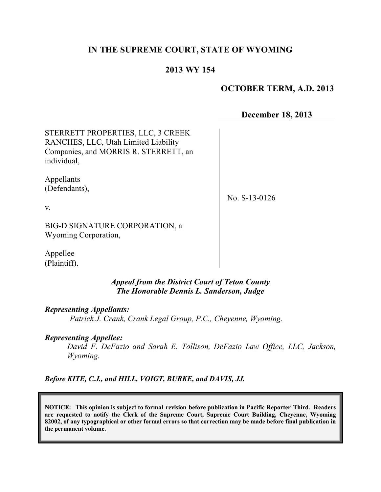# **IN THE SUPREME COURT, STATE OF WYOMING**

# **2013 WY 154**

## **OCTOBER TERM, A.D. 2013**

**December 18, 2013**

STERRETT PROPERTIES, LLC, 3 CREEK RANCHES, LLC, Utah Limited Liability Companies, and MORRIS R. STERRETT, an individual,

Appellants (Defendants),

No. S-13-0126

v.

BIG-D SIGNATURE CORPORATION, a Wyoming Corporation,

Appellee (Plaintiff).

## *Appeal from the District Court of Teton County The Honorable Dennis L. Sanderson, Judge*

*Representing Appellants:*

*Patrick J. Crank, Crank Legal Group, P.C., Cheyenne, Wyoming.*

## *Representing Appellee:*

*David F. DeFazio and Sarah E. Tollison, DeFazio Law Office, LLC, Jackson, Wyoming.*

*Before KITE, C.J., and HILL, VOIGT, BURKE, and DAVIS, JJ.*

**NOTICE: This opinion is subject to formal revision before publication in Pacific Reporter Third. Readers are requested to notify the Clerk of the Supreme Court, Supreme Court Building, Cheyenne, Wyoming 82002, of any typographical or other formal errors so that correction may be made before final publication in the permanent volume.**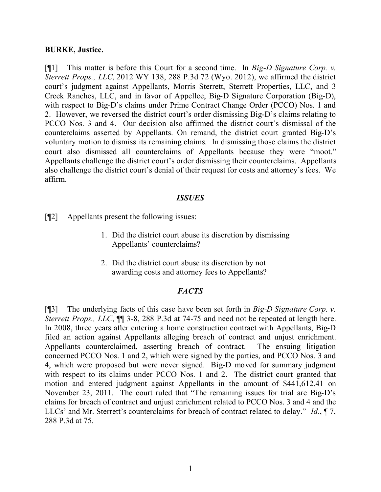## **BURKE, Justice.**

[¶1] This matter is before this Court for a second time. In *Big-D Signature Corp. v. Sterrett Props., LLC*, 2012 WY 138, 288 P.3d 72 (Wyo. 2012), we affirmed the district court's judgment against Appellants, Morris Sterrett, Sterrett Properties, LLC, and 3 Creek Ranches, LLC, and in favor of Appellee, Big-D Signature Corporation (Big-D), with respect to Big-D's claims under Prime Contract Change Order (PCCO) Nos. 1 and 2. However, we reversed the district court's order dismissing Big-D's claims relating to PCCO Nos. 3 and 4. Our decision also affirmed the district court's dismissal of the counterclaims asserted by Appellants. On remand, the district court granted Big-D's voluntary motion to dismiss its remaining claims. In dismissing those claims the district court also dismissed all counterclaims of Appellants because they were "moot." Appellants challenge the district court's order dismissing their counterclaims. Appellants also challenge the district court's denial of their request for costs and attorney's fees. We affirm.

### *ISSUES*

[¶2] Appellants present the following issues:

- 1. Did the district court abuse its discretion by dismissing Appellants' counterclaims?
- 2. Did the district court abuse its discretion by not awarding costs and attorney fees to Appellants?

## *FACTS*

[¶3] The underlying facts of this case have been set forth in *Big-D Signature Corp. v. Sterrett Props., LLC*,  $\P$  3-8, 288 P.3d at 74-75 and need not be repeated at length here. In 2008, three years after entering a home construction contract with Appellants, Big-D filed an action against Appellants alleging breach of contract and unjust enrichment. Appellants counterclaimed, asserting breach of contract. The ensuing litigation concerned PCCO Nos. 1 and 2, which were signed by the parties, and PCCO Nos. 3 and 4, which were proposed but were never signed. Big-D moved for summary judgment with respect to its claims under PCCO Nos. 1 and 2. The district court granted that motion and entered judgment against Appellants in the amount of \$441,612.41 on November 23, 2011. The court ruled that "The remaining issues for trial are Big-D's claims for breach of contract and unjust enrichment related to PCCO Nos. 3 and 4 and the LLCs' and Mr. Sterrett's counterclaims for breach of contract related to delay." *Id.*, ¶ 7, 288 P.3d at 75.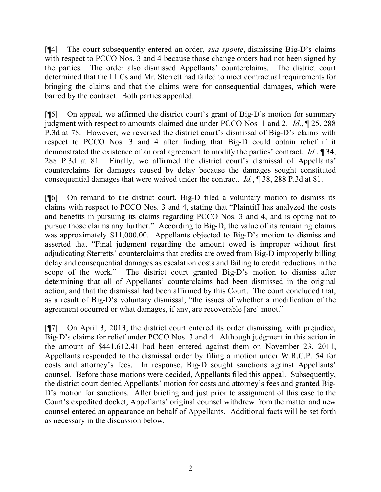[¶4] The court subsequently entered an order, *sua sponte*, dismissing Big-D's claims with respect to PCCO Nos. 3 and 4 because those change orders had not been signed by the parties. The order also dismissed Appellants' counterclaims. The district court determined that the LLCs and Mr. Sterrett had failed to meet contractual requirements for bringing the claims and that the claims were for consequential damages, which were barred by the contract. Both parties appealed.

[¶5] On appeal, we affirmed the district court's grant of Big-D's motion for summary judgment with respect to amounts claimed due under PCCO Nos. 1 and 2. *Id.*, ¶ 25, 288 P.3d at 78. However, we reversed the district court's dismissal of Big-D's claims with respect to PCCO Nos. 3 and 4 after finding that Big-D could obtain relief if it demonstrated the existence of an oral agreement to modify the parties' contract. *Id.*, ¶ 34, 288 P.3d at 81. Finally, we affirmed the district court's dismissal of Appellants' counterclaims for damages caused by delay because the damages sought constituted consequential damages that were waived under the contract. *Id.*, ¶ 38, 288 P.3d at 81.

[¶6] On remand to the district court, Big-D filed a voluntary motion to dismiss its claims with respect to PCCO Nos. 3 and 4, stating that "Plaintiff has analyzed the costs and benefits in pursuing its claims regarding PCCO Nos. 3 and 4, and is opting not to pursue those claims any further." According to Big-D, the value of its remaining claims was approximately \$11,000.00. Appellants objected to Big-D's motion to dismiss and asserted that "Final judgment regarding the amount owed is improper without first adjudicating Sterretts' counterclaims that credits are owed from Big-D improperly billing delay and consequential damages as escalation costs and failing to credit reductions in the scope of the work." The district court granted Big-D's motion to dismiss after determining that all of Appellants' counterclaims had been dismissed in the original action, and that the dismissal had been affirmed by this Court. The court concluded that, as a result of Big-D's voluntary dismissal, "the issues of whether a modification of the agreement occurred or what damages, if any, are recoverable [are] moot."

[¶7] On April 3, 2013, the district court entered its order dismissing, with prejudice, Big-D's claims for relief under PCCO Nos. 3 and 4. Although judgment in this action in the amount of \$441,612.41 had been entered against them on November 23, 2011, Appellants responded to the dismissal order by filing a motion under W.R.C.P. 54 for costs and attorney's fees. In response, Big-D sought sanctions against Appellants' counsel. Before those motions were decided, Appellants filed this appeal. Subsequently, the district court denied Appellants' motion for costs and attorney's fees and granted Big-D's motion for sanctions. After briefing and just prior to assignment of this case to the Court's expedited docket, Appellants' original counsel withdrew from the matter and new counsel entered an appearance on behalf of Appellants. Additional facts will be set forth as necessary in the discussion below.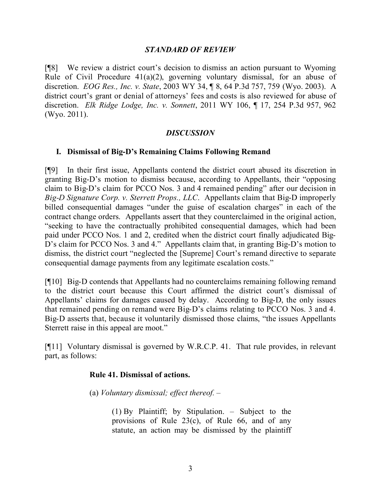## *STANDARD OF REVIEW*

[¶8] We review a district court's decision to dismiss an action pursuant to Wyoming Rule of Civil Procedure  $41(a)(2)$ , governing voluntary dismissal, for an abuse of discretion. *EOG Res., Inc. v. State*, 2003 WY 34, ¶ 8, 64 P.3d 757, 759 (Wyo. 2003).A district court's grant or denial of attorneys' fees and costs is also reviewed for abuse of discretion. *Elk Ridge Lodge, Inc. v. Sonnett*, 2011 WY 106, ¶ 17, 254 P.3d 957, 962 (Wyo. 2011).

### *DISCUSSION*

### **I. Dismissal of Big-D's Remaining Claims Following Remand**

[¶9] In their first issue, Appellants contend the district court abused its discretion in granting Big-D's motion to dismiss because, according to Appellants, their "opposing claim to Big-D's claim for PCCO Nos. 3 and 4 remained pending" after our decision in *Big-D Signature Corp. v. Sterrett Props., LLC*. Appellants claim that Big-D improperly billed consequential damages "under the guise of escalation charges" in each of the contract change orders. Appellants assert that they counterclaimed in the original action, "seeking to have the contractually prohibited consequential damages, which had been paid under PCCO Nos. 1 and 2, credited when the district court finally adjudicated Big-D's claim for PCCO Nos. 3 and 4." Appellants claim that, in granting Big-D's motion to dismiss, the district court "neglected the [Supreme] Court's remand directive to separate consequential damage payments from any legitimate escalation costs."

[¶10] Big-D contends that Appellants had no counterclaims remaining following remand to the district court because this Court affirmed the district court's dismissal of Appellants' claims for damages caused by delay. According to Big-D, the only issues that remained pending on remand were Big-D's claims relating to PCCO Nos. 3 and 4. Big-D asserts that, because it voluntarily dismissed those claims, "the issues Appellants Sterrett raise in this appeal are moot."

[¶11] Voluntary dismissal is governed by W.R.C.P. 41. That rule provides, in relevant part, as follows:

#### **Rule 41. Dismissal of actions.**

(a) *Voluntary dismissal; effect thereof.* –

(1) By Plaintiff; by Stipulation. – Subject to the provisions of Rule 23(c), of Rule 66, and of any statute, an action may be dismissed by the plaintiff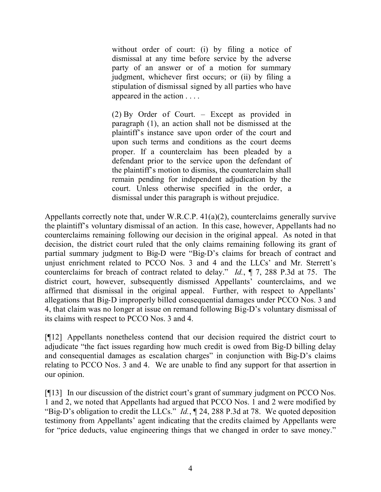without order of court: (i) by filing a notice of dismissal at any time before service by the adverse party of an answer or of a motion for summary judgment, whichever first occurs; or (ii) by filing a stipulation of dismissal signed by all parties who have appeared in the action . . . .

(2) By Order of Court. – Except as provided in paragraph (1), an action shall not be dismissed at the plaintiff's instance save upon order of the court and upon such terms and conditions as the court deems proper. If a counterclaim has been pleaded by a defendant prior to the service upon the defendant of the plaintiff's motion to dismiss, the counterclaim shall remain pending for independent adjudication by the court. Unless otherwise specified in the order, a dismissal under this paragraph is without prejudice.

Appellants correctly note that, under W.R.C.P. 41(a)(2), counterclaims generally survive the plaintiff's voluntary dismissal of an action. In this case, however, Appellants had no counterclaims remaining following our decision in the original appeal. As noted in that decision, the district court ruled that the only claims remaining following its grant of partial summary judgment to Big-D were "Big-D's claims for breach of contract and unjust enrichment related to PCCO Nos. 3 and 4 and the LLCs' and Mr. Sterrett's counterclaims for breach of contract related to delay." *Id.*, ¶ 7, 288 P.3d at 75. The district court, however, subsequently dismissed Appellants' counterclaims, and we affirmed that dismissal in the original appeal. Further, with respect to Appellants' allegations that Big-D improperly billed consequential damages under PCCO Nos. 3 and 4, that claim was no longer at issue on remand following Big-D's voluntary dismissal of its claims with respect to PCCO Nos. 3 and 4.

[¶12] Appellants nonetheless contend that our decision required the district court to adjudicate "the fact issues regarding how much credit is owed from Big-D billing delay and consequential damages as escalation charges" in conjunction with Big-D's claims relating to PCCO Nos. 3 and 4. We are unable to find any support for that assertion in our opinion.

[¶13] In our discussion of the district court's grant of summary judgment on PCCO Nos. 1 and 2, we noted that Appellants had argued that PCCO Nos. 1 and 2 were modified by "Big-D's obligation to credit the LLCs." *Id.*, ¶ 24, 288 P.3d at 78. We quoted deposition testimony from Appellants' agent indicating that the credits claimed by Appellants were for "price deducts, value engineering things that we changed in order to save money."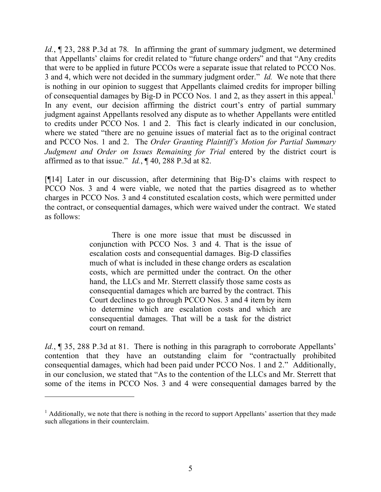*Id.*, ¶ 23, 288 P.3d at 78*.* In affirming the grant of summary judgment, we determined that Appellants' claims for credit related to "future change orders" and that "Any credits that were to be applied in future PCCOs were a separate issue that related to PCCO Nos. 3 and 4, which were not decided in the summary judgment order." *Id.* We note that there is nothing in our opinion to suggest that Appellants claimed credits for improper billing of consequential damages by Big-D in PCCO Nos. 1 and 2, as they assert in this appeal.<sup>1</sup> In any event, our decision affirming the district court's entry of partial summary judgment against Appellants resolved any dispute as to whether Appellants were entitled to credits under PCCO Nos. 1 and 2. This fact is clearly indicated in our conclusion, where we stated "there are no genuine issues of material fact as to the original contract and PCCO Nos. 1 and 2. The *Order Granting Plaintiff's Motion for Partial Summary Judgment and Order on Issues Remaining for Trial* entered by the district court is affirmed as to that issue." *Id.*, ¶ 40, 288 P.3d at 82.

[¶14] Later in our discussion, after determining that Big-D's claims with respect to PCCO Nos. 3 and 4 were viable, we noted that the parties disagreed as to whether charges in PCCO Nos. 3 and 4 constituted escalation costs, which were permitted under the contract, or consequential damages, which were waived under the contract. We stated as follows:

> There is one more issue that must be discussed in conjunction with PCCO Nos. 3 and 4. That is the issue of escalation costs and consequential damages. Big-D classifies much of what is included in these change orders as escalation costs, which are permitted under the contract. On the other hand, the LLCs and Mr. Sterrett classify those same costs as consequential damages which are barred by the contract. This Court declines to go through PCCO Nos. 3 and 4 item by item to determine which are escalation costs and which are consequential damages. That will be a task for the district court on remand.

*Id.*, **[35, 288 P.3d at 81.** There is nothing in this paragraph to corroborate Appellants' contention that they have an outstanding claim for "contractually prohibited consequential damages, which had been paid under PCCO Nos. 1 and 2." Additionally, in our conclusion, we stated that "As to the contention of the LLCs and Mr. Sterrett that some of the items in PCCO Nos. 3 and 4 were consequential damages barred by the

 $<sup>1</sup>$  Additionally, we note that there is nothing in the record to support Appellants' assertion that they made</sup> such allegations in their counterclaim.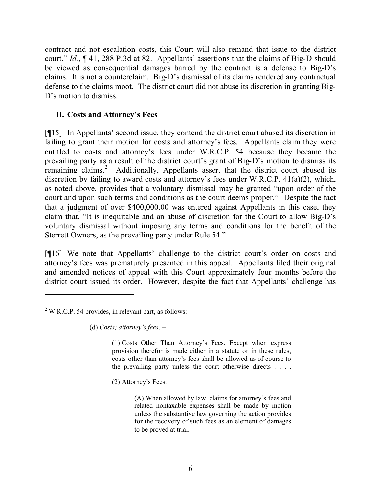contract and not escalation costs, this Court will also remand that issue to the district court." *Id.*, ¶ 41, 288 P.3d at 82. Appellants' assertions that the claims of Big-D should be viewed as consequential damages barred by the contract is a defense to Big-D's claims. It is not a counterclaim. Big-D's dismissal of its claims rendered any contractual defense to the claims moot. The district court did not abuse its discretion in granting Big-D's motion to dismiss.

## **II. Costs and Attorney's Fees**

[¶15] In Appellants' second issue, they contend the district court abused its discretion in failing to grant their motion for costs and attorney's fees. Appellants claim they were entitled to costs and attorney's fees under W.R.C.P. 54 because they became the prevailing party as a result of the district court's grant of Big-D's motion to dismiss its remaining claims.<sup>2</sup> Additionally, Appellants assert that the district court abused its discretion by failing to award costs and attorney's fees under W.R.C.P. 41(a)(2), which, as noted above, provides that a voluntary dismissal may be granted "upon order of the court and upon such terms and conditions as the court deems proper." Despite the fact that a judgment of over \$400,000.00 was entered against Appellants in this case, they claim that, "It is inequitable and an abuse of discretion for the Court to allow Big-D's voluntary dismissal without imposing any terms and conditions for the benefit of the Sterrett Owners, as the prevailing party under Rule 54."

[¶16] We note that Appellants' challenge to the district court's order on costs and attorney's fees was prematurely presented in this appeal. Appellants filed their original and amended notices of appeal with this Court approximately four months before the district court issued its order. However, despite the fact that Appellants' challenge has

(d) *Costs; attorney's fees*. –

(1) Costs Other Than Attorney's Fees. Except when express provision therefor is made either in a statute or in these rules, costs other than attorney's fees shall be allowed as of course to the prevailing party unless the court otherwise directs . . . .

(2) Attorney's Fees.

(A) When allowed by law, claims for attorney's fees and related nontaxable expenses shall be made by motion unless the substantive law governing the action provides for the recovery of such fees as an element of damages to be proved at trial.

 $2$  W.R.C.P. 54 provides, in relevant part, as follows: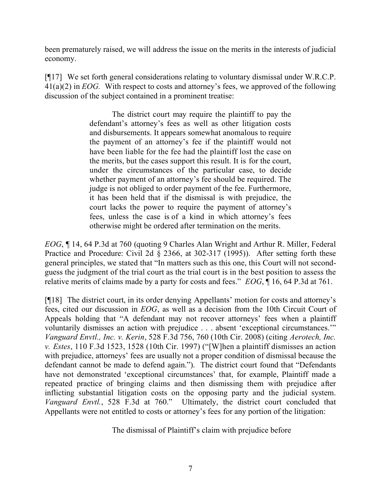been prematurely raised, we will address the issue on the merits in the interests of judicial economy.

[¶17] We set forth general considerations relating to voluntary dismissal under W.R.C.P. 41(a)(2) in *EOG.* With respect to costs and attorney's fees, we approved of the following discussion of the subject contained in a prominent treatise:

> The district court may require the plaintiff to pay the defendant's attorney's fees as well as other litigation costs and disbursements. It appears somewhat anomalous to require the payment of an attorney's fee if the plaintiff would not have been liable for the fee had the plaintiff lost the case on the merits, but the cases support this result. It is for the court, under the circumstances of the particular case, to decide whether payment of an attorney's fee should be required. The judge is not obliged to order payment of the fee. Furthermore, it has been held that if the dismissal is with prejudice, the court lacks the power to require the payment of attorney's fees, unless the case is of a kind in which attorney's fees otherwise might be ordered after termination on the merits.

*EOG*, ¶ 14, 64 P.3d at 760 (quoting 9 Charles Alan Wright and Arthur R. Miller, Federal Practice and Procedure: Civil 2d § 2366, at 302-317 (1995)). After setting forth these general principles, we stated that "In matters such as this one, this Court will not secondguess the judgment of the trial court as the trial court is in the best position to assess the relative merits of claims made by a party for costs and fees." *EOG*, ¶ 16, 64 P.3d at 761.

[¶18] The district court, in its order denying Appellants' motion for costs and attorney's fees, cited our discussion in *EOG*, as well as a decision from the 10th Circuit Court of Appeals holding that "A defendant may not recover attorneys' fees when a plaintiff voluntarily dismisses an action with prejudice . . . absent 'exceptional circumstances.'" *Vanguard Envtl., Inc. v. Kerin*, 528 F.3d 756, 760 (10th Cir. 2008) (citing *Aerotech, Inc. v. Estes*, 110 F.3d 1523, 1528 (10th Cir. 1997) ("[W]hen a plaintiff dismisses an action with prejudice, attorneys' fees are usually not a proper condition of dismissal because the defendant cannot be made to defend again."). The district court found that "Defendants have not demonstrated 'exceptional circumstances' that, for example, Plaintiff made a repeated practice of bringing claims and then dismissing them with prejudice after inflicting substantial litigation costs on the opposing party and the judicial system. *Vanguard Envtl.*, 528 F.3d at 760." Ultimately, the district court concluded that Appellants were not entitled to costs or attorney's fees for any portion of the litigation:

The dismissal of Plaintiff's claim with prejudice before